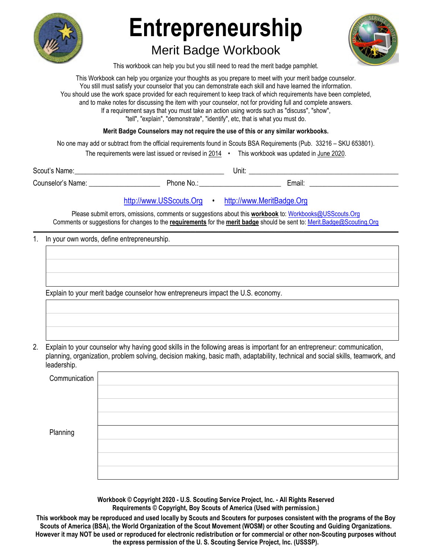

# **Entrepreneurship**

## Merit Badge Workbook



This workbook can help you but you still need to read the merit badge pamphlet.

This Workbook can help you organize your thoughts as you prepare to meet with your merit badge counselor. You still must satisfy your counselor that you can demonstrate each skill and have learned the information. You should use the work space provided for each requirement to keep track of which requirements have been completed, and to make notes for discussing the item with your counselor, not for providing full and complete answers. If a requirement says that you must take an action using words such as "discuss", "show", "tell", "explain", "demonstrate", "identify", etc, that is what you must do.

**Merit Badge Counselors may not require the use of this or any similar workbooks.**

No one may add or subtract from the official requirements found in Scouts BSA Requirements (Pub. 33216 – SKU 653801).

The requirements were last issued or revised in 2014 • This workbook was updated in June 2020.

Scout's Name: \_\_\_\_\_\_\_\_\_\_\_\_\_\_\_\_\_\_\_\_\_\_\_\_\_\_\_\_\_\_\_\_\_\_\_\_\_\_\_\_\_\_ Unit: \_\_\_\_\_\_\_\_\_\_\_\_\_\_\_\_\_\_\_\_\_\_\_\_\_\_\_\_\_\_\_\_\_\_\_\_\_\_\_\_\_\_ Counselor's Name: \_\_\_\_\_\_\_\_\_\_\_\_\_\_\_\_\_\_\_\_ Phone No.: \_\_\_\_\_\_\_\_\_\_\_\_\_\_\_\_\_\_\_\_\_\_\_ Email: \_\_\_\_\_\_\_\_\_\_\_\_\_\_\_\_\_\_\_\_\_\_\_\_\_

### http://www.USScouts.Org • http://www.MeritBadge.Org

Please submit errors, omissions, comments or suggestions about this **workbook** to: Workbooks@USScouts.Org Comments or suggestions for changes to the **requirements** for the **merit badge** should be sent to: Merit.Badge@Scouting.Org *\_\_\_\_\_\_\_\_\_\_\_\_\_\_\_\_\_\_\_\_\_\_\_\_\_\_\_\_\_\_\_\_\_\_\_\_\_\_\_\_\_\_\_\_\_\_\_\_\_\_\_\_\_\_\_\_\_\_\_\_\_\_\_\_\_\_\_\_\_\_\_\_\_\_\_\_\_\_\_\_\_\_\_\_\_\_\_\_\_\_\_\_\_\_\_\_\_\_\_\_\_\_\_\_\_\_\_\_\_\_\_\_\_\_\_\_\_\_\_\_\_\_\_\_\_\_\_\_\_\_\_\_\_\_\_\_\_\_\_\_\_\_* 

#### 1. In your own words, define entrepreneurship.

Explain to your merit badge counselor how entrepreneurs impact the U.S. economy.

2. Explain to your counselor why having good skills in the following areas is important for an entrepreneur: communication, planning, organization, problem solving, decision making, basic math, adaptability, technical and social skills, teamwork, and leadership.

| Communication |  |
|---------------|--|
|               |  |
|               |  |
|               |  |
| Planning      |  |
|               |  |
|               |  |
|               |  |

**Workbook © Copyright 2020 - U.S. Scouting Service Project, Inc. - All Rights Reserved Requirements © Copyright, Boy Scouts of America (Used with permission.)** 

**This workbook may be reproduced and used locally by Scouts and Scouters for purposes consistent with the programs of the Boy Scouts of America (BSA), the World Organization of the Scout Movement (WOSM) or other Scouting and Guiding Organizations. However it may NOT be used or reproduced for electronic redistribution or for commercial or other non-Scouting purposes without the express permission of the U. S. Scouting Service Project, Inc. (USSSP).**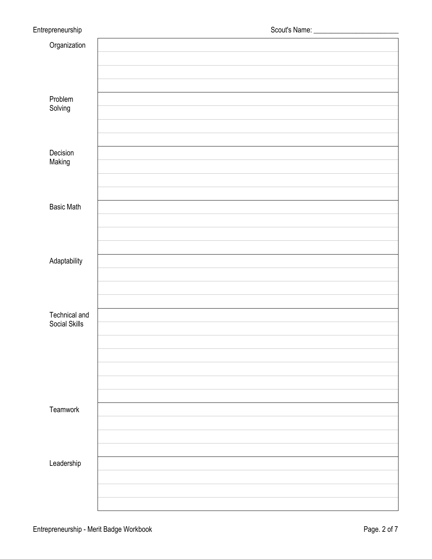| Organization                   |  |
|--------------------------------|--|
|                                |  |
|                                |  |
|                                |  |
| Problem                        |  |
| Solving                        |  |
|                                |  |
|                                |  |
| Decision                       |  |
| Making                         |  |
|                                |  |
|                                |  |
| <b>Basic Math</b>              |  |
|                                |  |
|                                |  |
|                                |  |
| Adaptability                   |  |
|                                |  |
|                                |  |
|                                |  |
| Technical and<br>Social Skills |  |
|                                |  |
|                                |  |
|                                |  |
|                                |  |
|                                |  |
|                                |  |
| Teamwork                       |  |
|                                |  |
|                                |  |
|                                |  |
| Leadership                     |  |
|                                |  |
|                                |  |
|                                |  |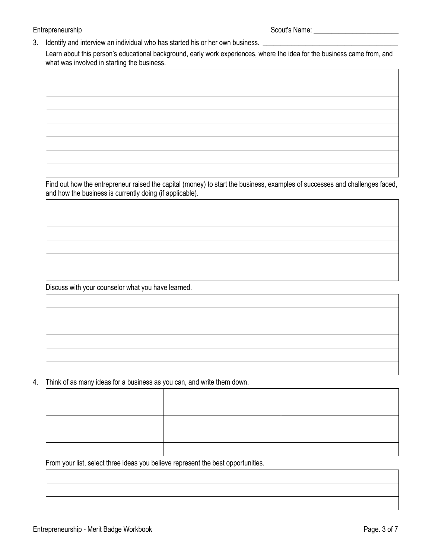#### Entrepreneurship Scout's Name: \_\_\_\_\_\_\_\_\_\_\_\_\_\_\_\_\_\_\_\_\_\_\_\_

3. Identify and interview an individual who has started his or her own business. \_

Learn about this person's educational background, early work experiences, where the idea for the business came from, and what was involved in starting the business.

| the control of the control of the control of the control of the control of                                                                                                                                                    |  |  |
|-------------------------------------------------------------------------------------------------------------------------------------------------------------------------------------------------------------------------------|--|--|
|                                                                                                                                                                                                                               |  |  |
| the contract of the contract of the contract of the contract of the contract of                                                                                                                                               |  |  |
|                                                                                                                                                                                                                               |  |  |
|                                                                                                                                                                                                                               |  |  |
| the control of the control of the control of the control of the control of the control of the control of the control of the control of the control of the control of the control of the control of the control of the control |  |  |
|                                                                                                                                                                                                                               |  |  |
|                                                                                                                                                                                                                               |  |  |

Find out how the entrepreneur raised the capital (money) to start the business, examples of successes and challenges faced, and how the business is currently doing (if applicable).

Discuss with your counselor what you have learned.

4. Think of as many ideas for a business as you can, and write them down.

From your list, select three ideas you believe represent the best opportunities.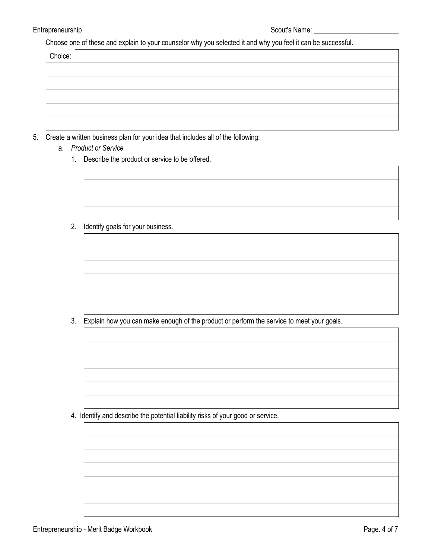Choose one of these and explain to your counselor why you selected it and why you feel it can be successful.

| Choice: |  |  |  |
|---------|--|--|--|
|         |  |  |  |
|         |  |  |  |
|         |  |  |  |
|         |  |  |  |
|         |  |  |  |

- 5. Create a written business plan for your idea that includes all of the following:
	- a. *Product or Service*
		- 1. Describe the product or service to be offered.

2. Identify goals for your business.

3. Explain how you can make enough of the product or perform the service to meet your goals.

4. Identify and describe the potential liability risks of your good or service.

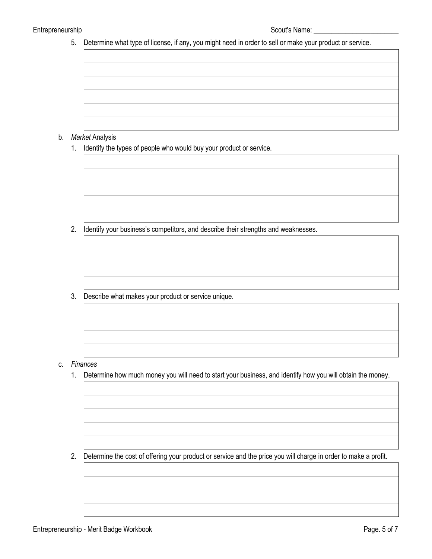5. Determine what type of license, if any, you might need in order to sell or make your product or service.

#### b. *Market* Analysis

1. Identify the types of people who would buy your product or service.

2. Identify your business's competitors, and describe their strengths and weaknesses.

3. Describe what makes your product or service unique.

- c. *Finances*
	- 1. Determine how much money you will need to start your business, and identify how you will obtain the money.

2. Determine the cost of offering your product or service and the price you will charge in order to make a profit. .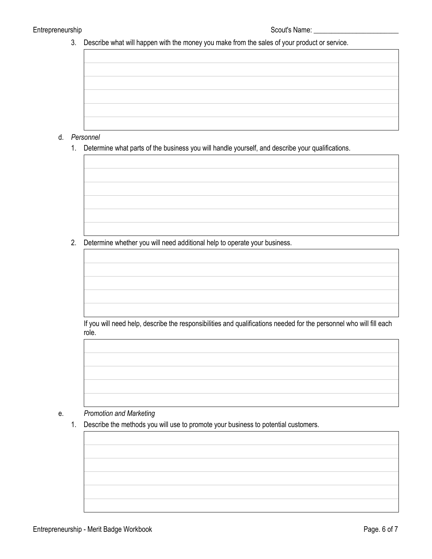3. Describe what will happen with the money you make from the sales of your product or service.

- d. *Personnel*
	- 1. Determine what parts of the business you will handle yourself, and describe your qualifications.

2. Determine whether you will need additional help to operate your business.

If you will need help, describe the responsibilities and qualifications needed for the personnel who will fill each role.



#### e. *Promotion and Marketing*

1. Describe the methods you will use to promote your business to potential customers.